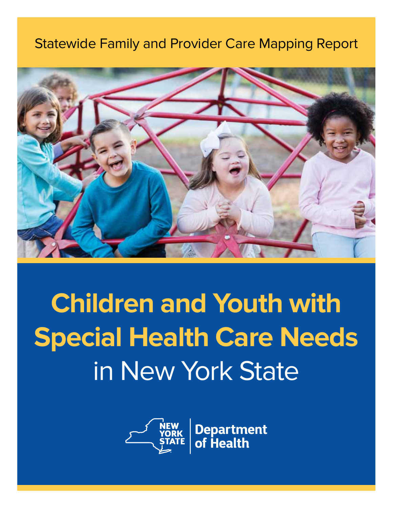# Statewide Family and Provider Care Mapping Report



# **Children and Youth with Special Health Care Needs** in New York State



**Department**<br>of Health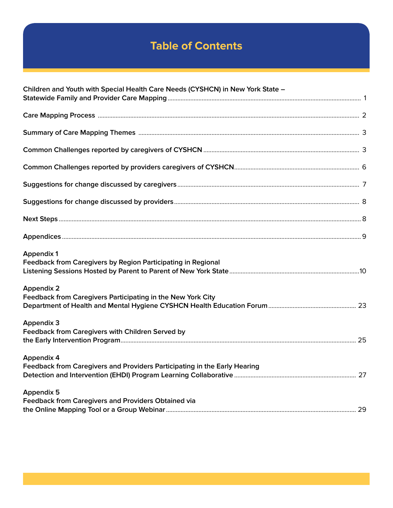# **Table of Contents**

| Children and Youth with Special Health Care Needs (CYSHCN) in New York State - |  |
|--------------------------------------------------------------------------------|--|
|                                                                                |  |
|                                                                                |  |
|                                                                                |  |
|                                                                                |  |
|                                                                                |  |
|                                                                                |  |
|                                                                                |  |
|                                                                                |  |
|                                                                                |  |
| <b>Appendix 1</b>                                                              |  |
| Feedback from Caregivers by Region Participating in Regional                   |  |
| <b>Appendix 2</b>                                                              |  |
| Feedback from Caregivers Participating in the New York City                    |  |
| <b>Appendix 3</b>                                                              |  |
| Feedback from Caregivers with Children Served by                               |  |
| <b>Appendix 4</b>                                                              |  |
| Feedback from Caregivers and Providers Participating in the Early Hearing      |  |
| <b>Appendix 5</b>                                                              |  |
| Feedback from Caregivers and Providers Obtained via                            |  |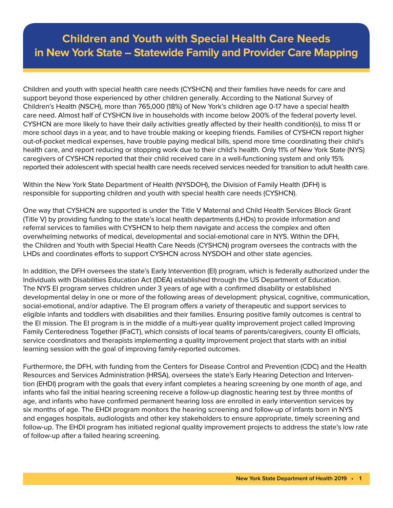Children and youth with special health care needs (CYSHCN) and their families have needs for care and support beyond those experienced by other children generally. According to the National Survey of Children's Health (NSCH), more than 765,000 (18%) of New York's children age 0-17 have a special health care need. Almost half of CYSHCN live in households with income below 200% of the federal poverty level. CYSHCN are more likely to have their daily activities greatly affected by their health condition(s), to miss 11 or more school days in a year, and to have trouble making or keeping friends. Families of CYSHCN report higher out-of-pocket medical expenses, have trouble paying medical bills, spend more time coordinating their child's health care, and report reducing or stopping work due to their child's health. Only 11% of New York State (NYS) caregivers of CYSHCN reported that their child received care in a well-functioning system and only 15% reported their adolescent with special health care needs received services needed for transition to adult health care.

Within the New York State Department of Health (NYSDOH), the Division of Family Health (DFH) is responsible for supporting children and youth with special health care needs (CYSHCN).

One way that CYSHCN are supported is under the Title V Maternal and Child Health Services Block Grant (Title V) by providing funding to the state's local health departments (LHDs) to provide information and referral services to families with CYSHCN to help them navigate and access the complex and often overwhelming networks of medical, developmental and social-emotional care in NYS. Within the DFH, the Children and Youth with Special Health Care Needs (CYSHCN) program oversees the contracts with the LHDs and coordinates efforts to support CYSHCN across NYSDOH and other state agencies.

In addition, the DFH oversees the state's Early Intervention (EI) program, which is federally authorized under the Individuals with Disabilities Education Act (IDEA) established through the US Department of Education. The NYS EI program serves children under 3 years of age with a confirmed disability or established developmental delay in one or more of the following areas of development: physical, cognitive, communication, social-emotional, and/or adaptive. The EI program offers a variety of therapeutic and support services to eligible infants and toddlers with disabilities and their families. Ensuring positive family outcomes is central to the EI mission. The EI program is in the middle of a multi-year quality improvement project called Improving Family Centeredness Together (IFaCT), which consists of local teams of parents/caregivers, county EI officials, service coordinators and therapists implementing a quality improvement project that starts with an initial learning session with the goal of improving family-reported outcomes.

Furthermore, the DFH, with funding from the Centers for Disease Control and Prevention (CDC) and the Health Resources and Services Administration (HRSA), oversees the state's Early Hearing Detection and Intervention (EHDI) program with the goals that every infant completes a hearing screening by one month of age, and infants who fail the initial hearing screening receive a follow-up diagnostic hearing test by three months of age, and infants who have confirmed permanent hearing loss are enrolled in early intervention services by six months of age. The EHDI program monitors the hearing screening and follow-up of infants born in NYS and engages hospitals, audiologists and other key stakeholders to ensure appropriate, timely screening and follow-up. The EHDI program has initiated regional quality improvement projects to address the state's low rate of follow-up after a failed hearing screening.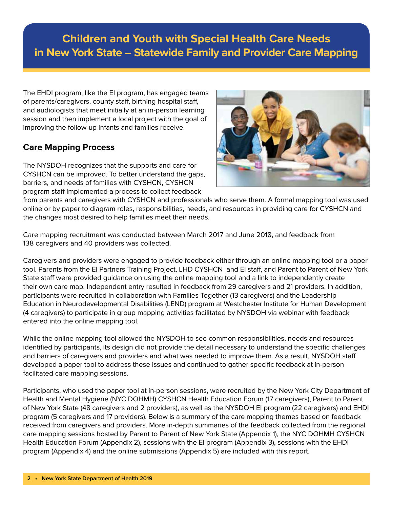The EHDI program, like the EI program, has engaged teams of parents/caregivers, county staff, birthing hospital staff, and audiologists that meet initially at an in-person learning session and then implement a local project with the goal of improving the follow-up infants and families receive.

### **Care Mapping Process**

The NYSDOH recognizes that the supports and care for CYSHCN can be improved. To better understand the gaps, barriers, and needs of families with CYSHCN, CYSHCN program staff implemented a process to collect feedback



from parents and caregivers with CYSHCN and professionals who serve them. A formal mapping tool was used online or by paper to diagram roles, responsibilities, needs, and resources in providing care for CYSHCN and the changes most desired to help families meet their needs.

Care mapping recruitment was conducted between March 2017 and June 2018, and feedback from 138 caregivers and 40 providers was collected.

Caregivers and providers were engaged to provide feedback either through an online mapping tool or a paper tool. Parents from the EI Partners Training Project, LHD CYSHCN and EI staff, and Parent to Parent of New York State staff were provided guidance on using the online mapping tool and a link to independently create their own care map. Independent entry resulted in feedback from 29 caregivers and 21 providers. In addition, participants were recruited in collaboration with Families Together (13 caregivers) and the Leadership Education in Neurodevelopmental Disabilities (LEND) program at Westchester Institute for Human Development (4 caregivers) to participate in group mapping activities facilitated by NYSDOH via webinar with feedback entered into the online mapping tool.

While the online mapping tool allowed the NYSDOH to see common responsibilities, needs and resources identified by participants, its design did not provide the detail necessary to understand the specific challenges and barriers of caregivers and providers and what was needed to improve them. As a result, NYSDOH staff developed a paper tool to address these issues and continued to gather specific feedback at in-person facilitated care mapping sessions.

Participants, who used the paper tool at in-person sessions, were recruited by the New York City Department of Health and Mental Hygiene (NYC DOHMH) CYSHCN Health Education Forum (17 caregivers), Parent to Parent of New York State (48 caregivers and 2 providers), as well as the NYSDOH EI program (22 caregivers) and EHDI program (5 caregivers and 17 providers). Below is a summary of the care mapping themes based on feedback received from caregivers and providers. More in-depth summaries of the feedback collected from the regional care mapping sessions hosted by Parent to Parent of New York State (Appendix 1), the NYC DOHMH CYSHCN Health Education Forum (Appendix 2), sessions with the EI program (Appendix 3), sessions with the EHDI program (Appendix 4) and the online submissions (Appendix 5) are included with this report.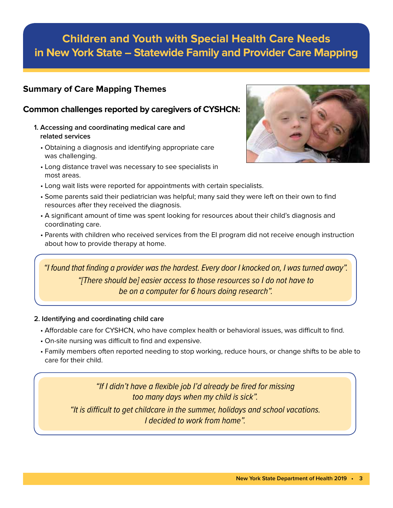### **Summary of Care Mapping Themes**

### **Common challenges reported by caregivers of CYSHCN:**

- **1. Accessing and coordinating medical care and related services**
	- Obtaining a diagnosis and identifying appropriate care was challenging.
	- Long distance travel was necessary to see specialists in most areas.



- Long wait lists were reported for appointments with certain specialists.
- Some parents said their pediatrician was helpful; many said they were left on their own to find resources after they received the diagnosis.
- A significant amount of time was spent looking for resources about their child's diagnosis and coordinating care.
- Parents with children who received services from the EI program did not receive enough instruction about how to provide therapy at home.

*"I found that finding a provider was the hardest. Every door I knocked on, I was turned away". "[There should be] easier access to those resources so I do not have to be on a computer for 6 hours doing research".*

#### **2. Identifying and coordinating child care**

- Affordable care for CYSHCN, who have complex health or behavioral issues, was difficult to find.
- On-site nursing was difficult to find and expensive.
- Family members often reported needing to stop working, reduce hours, or change shifts to be able to care for their child.

*"If I didn't have a flexible job I'd already be fired for missing too many days when my child is sick". "It is difficult to get childcare in the summer, holidays and school vacations. I decided to work from home".*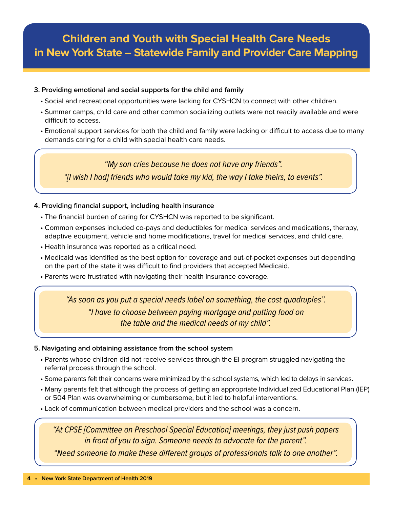#### **3. Providing emotional and social supports for the child and family**

- Social and recreational opportunities were lacking for CYSHCN to connect with other children.
- Summer camps, child care and other common socializing outlets were not readily available and were difficult to access.
- Emotional support services for both the child and family were lacking or difficult to access due to many demands caring for a child with special health care needs.

*"My son cries because he does not have any friends". "[I wish I had] friends who would take my kid, the way I take theirs, to events".*

#### **4. Providing financial support, including health insurance**

- The financial burden of caring for CYSHCN was reported to be significant.
- Common expenses included co-pays and deductibles for medical services and medications, therapy, adaptive equipment, vehicle and home modifications, travel for medical services, and child care.
- Health insurance was reported as a critical need.
- Medicaid was identified as the best option for coverage and out-of-pocket expenses but depending on the part of the state it was difficult to find providers that accepted Medicaid.
- Parents were frustrated with navigating their health insurance coverage.

*"As soon as you put a special needs label on something, the cost quadruples". "I have to choose between paying mortgage and putting food on the table and the medical needs of my child".*

#### **5. Navigating and obtaining assistance from the school system**

- Parents whose children did not receive services through the EI program struggled navigating the referral process through the school.
- Some parents felt their concerns were minimized by the school systems, which led to delays in services.
- Many parents felt that although the process of getting an appropriate Individualized Educational Plan (IEP) or 504 Plan was overwhelming or cumbersome, but it led to helpful interventions.
- Lack of communication between medical providers and the school was a concern.

*"At CPSE [Committee on Preschool Special Education] meetings, they just push papers in front of you to sign. Someone needs to advocate for the parent".*

*"Need someone to make these different groups of professionals talk to one another".*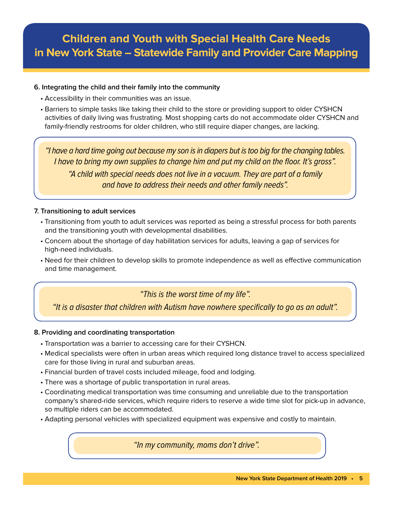#### **6. Integrating the child and their family into the community**

- Accessibility in their communities was an issue.
- Barriers to simple tasks like taking their child to the store or providing support to older CYSHCN activities of daily living was frustrating. Most shopping carts do not accommodate older CYSHCN and family-friendly restrooms for older children, who still require diaper changes, are lacking.

*"I have a hard time going out because my son is in diapers but is too big for the changing tables. I have to bring my own supplies to change him and put my child on the floor. It's gross". "A child with special needs does not live in a vacuum. They are part of a family and have to address their needs and other family needs".*

#### **7. Transitioning to adult services**

- Transitioning from youth to adult services was reported as being a stressful process for both parents and the transitioning youth with developmental disabilities.
- Concern about the shortage of day habilitation services for adults, leaving a gap of services for high-need individuals.
- Need for their children to develop skills to promote independence as well as effective communication and time management.

*"This is the worst time of my life".*

*"It is a disaster that children with Autism have nowhere specifically to go as an adult".*

#### **8. Providing and coordinating transportation**

- Transportation was a barrier to accessing care for their CYSHCN.
- Medical specialists were often in urban areas which required long distance travel to access specialized care for those living in rural and suburban areas.
- Financial burden of travel costs included mileage, food and lodging.
- There was a shortage of public transportation in rural areas.
- Coordinating medical transportation was time consuming and unreliable due to the transportation company's shared-ride services, which require riders to reserve a wide time slot for pick-up in advance, so multiple riders can be accommodated.
- Adapting personal vehicles with specialized equipment was expensive and costly to maintain.

*"In my community, moms don't drive".*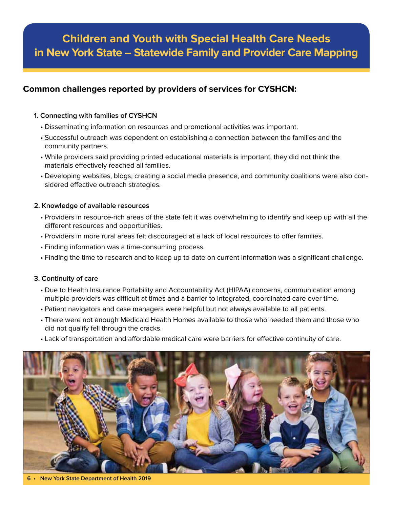### **Common challenges reported by providers of services for CYSHCN:**

#### **1. Connecting with families of CYSHCN**

- Disseminating information on resources and promotional activities was important.
- Successful outreach was dependent on establishing a connection between the families and the community partners.
- While providers said providing printed educational materials is important, they did not think the materials effectively reached all families.
- Developing websites, blogs, creating a social media presence, and community coalitions were also considered effective outreach strategies.

#### **2. Knowledge of available resources**

- Providers in resource-rich areas of the state felt it was overwhelming to identify and keep up with all the different resources and opportunities.
- Providers in more rural areas felt discouraged at a lack of local resources to offer families.
- Finding information was a time-consuming process.
- Finding the time to research and to keep up to date on current information was a significant challenge.

#### **3. Continuity of care**

- Due to Health Insurance Portability and Accountability Act (HIPAA) concerns, communication among multiple providers was difficult at times and a barrier to integrated, coordinated care over time.
- Patient navigators and case managers were helpful but not always available to all patients.
- There were not enough Medicaid Health Homes available to those who needed them and those who did not qualify fell through the cracks.
- Lack of transportation and affordable medical care were barriers for effective continuity of care.



**6 • New York State Department of Health 2019**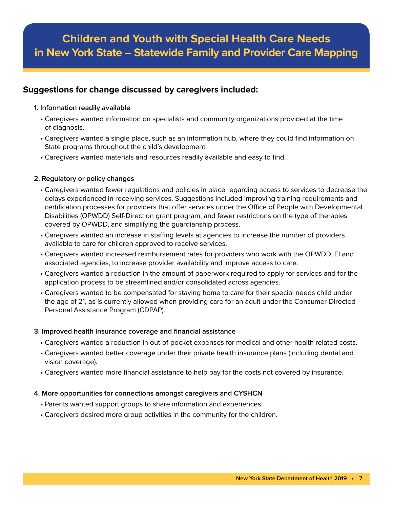### **Suggestions for change discussed by caregivers included:**

#### **1. Information readily available**

- Caregivers wanted information on specialists and community organizations provided at the time of diagnosis.
- Caregivers wanted a single place, such as an information hub, where they could find information on State programs throughout the child's development.
- Caregivers wanted materials and resources readily available and easy to find.

#### **2. Regulatory or policy changes**

- Caregivers wanted fewer regulations and policies in place regarding access to services to decrease the delays experienced in receiving services. Suggestions included improving training requirements and certification processes for providers that offer services under the Office of People with Developmental Disabilities (OPWDD) Self-Direction grant program, and fewer restrictions on the type of therapies covered by OPWDD, and simplifying the guardianship process.
- Caregivers wanted an increase in staffing levels at agencies to increase the number of providers available to care for children approved to receive services.
- Caregivers wanted increased reimbursement rates for providers who work with the OPWDD, EI and associated agencies, to increase provider availability and improve access to care.
- Caregivers wanted a reduction in the amount of paperwork required to apply for services and for the application process to be streamlined and/or consolidated across agencies.
- Caregivers wanted to be compensated for staying home to care for their special needs child under the age of 21, as is currently allowed when providing care for an adult under the Consumer-Directed Personal Assistance Program (CDPAP).

#### **3. Improved health insurance coverage and financial assistance**

- Caregivers wanted a reduction in out-of-pocket expenses for medical and other health related costs.
- Caregivers wanted better coverage under their private health insurance plans (including dental and vision coverage).
- Caregivers wanted more financial assistance to help pay for the costs not covered by insurance.

#### **4. More opportunities for connections amongst caregivers and CYSHCN**

- Parents wanted support groups to share information and experiences.
- Caregivers desired more group activities in the community for the children.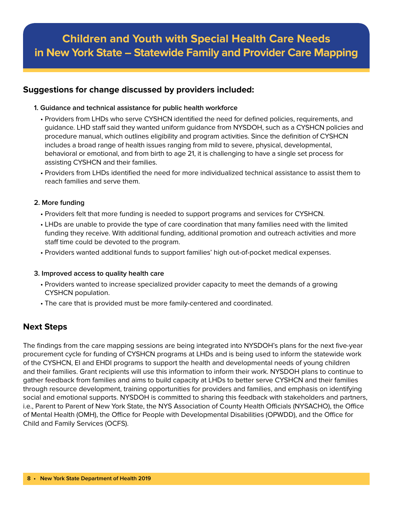### **Suggestions for change discussed by providers included:**

#### **1. Guidance and technical assistance for public health workforce**

- Providers from LHDs who serve CYSHCN identified the need for defined policies, requirements, and guidance. LHD staff said they wanted uniform guidance from NYSDOH, such as a CYSHCN policies and procedure manual, which outlines eligibility and program activities. Since the definition of CYSHCN includes a broad range of health issues ranging from mild to severe, physical, developmental, behavioral or emotional, and from birth to age 21, it is challenging to have a single set process for assisting CYSHCN and their families.
- Providers from LHDs identified the need for more individualized technical assistance to assist them to reach families and serve them.

#### **2. More funding**

- Providers felt that more funding is needed to support programs and services for CYSHCN.
- LHDs are unable to provide the type of care coordination that many families need with the limited funding they receive. With additional funding, additional promotion and outreach activities and more staff time could be devoted to the program.
- Providers wanted additional funds to support families' high out-of-pocket medical expenses.

#### **3. Improved access to quality health care**

- Providers wanted to increase specialized provider capacity to meet the demands of a growing CYSHCN population.
- The care that is provided must be more family-centered and coordinated.

### **Next Steps**

The findings from the care mapping sessions are being integrated into NYSDOH's plans for the next five-year procurement cycle for funding of CYSHCN programs at LHDs and is being used to inform the statewide work of the CYSHCN, EI and EHDI programs to support the health and developmental needs of young children and their families. Grant recipients will use this information to inform their work. NYSDOH plans to continue to gather feedback from families and aims to build capacity at LHDs to better serve CYSHCN and their families through resource development, training opportunities for providers and families, and emphasis on identifying social and emotional supports. NYSDOH is committed to sharing this feedback with stakeholders and partners, i.e., Parent to Parent of New York State, the NYS Association of County Health Officials (NYSACHO), the Office of Mental Health (OMH), the Office for People with Developmental Disabilities (OPWDD), and the Office for Child and Family Services (OCFS).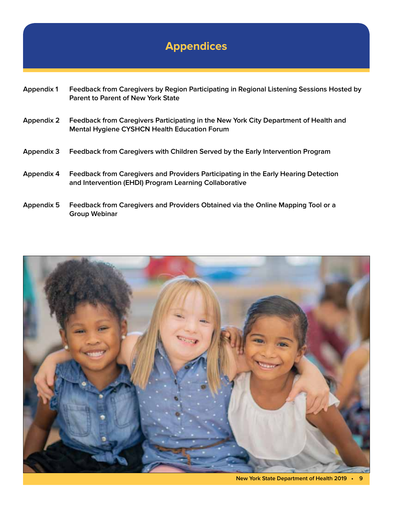# **Appendices**

| <b>Appendix 1</b> | Feedback from Caregivers by Region Participating in Regional Listening Sessions Hosted by<br><b>Parent to Parent of New York State</b>        |
|-------------------|-----------------------------------------------------------------------------------------------------------------------------------------------|
| <b>Appendix 2</b> | Feedback from Caregivers Participating in the New York City Department of Health and<br>Mental Hygiene CYSHCN Health Education Forum          |
| <b>Appendix 3</b> | Feedback from Caregivers with Children Served by the Early Intervention Program                                                               |
| Appendix 4        | Feedback from Caregivers and Providers Participating in the Early Hearing Detection<br>and Intervention (EHDI) Program Learning Collaborative |
| Appendix 5        | Feedback from Caregivers and Providers Obtained via the Online Mapping Tool or a<br><b>Group Webinar</b>                                      |

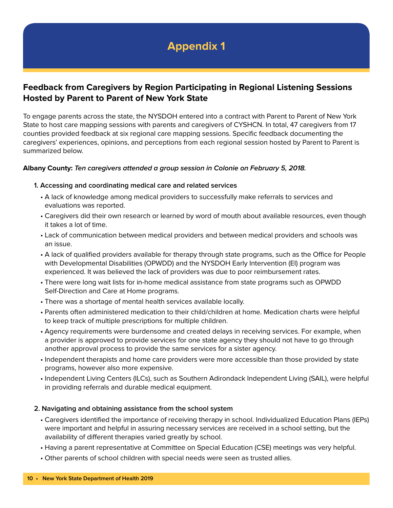### **Feedback from Caregivers by Region Participating in Regional Listening Sessions Hosted by Parent to Parent of New York State**

To engage parents across the state, the NYSDOH entered into a contract with Parent to Parent of New York State to host care mapping sessions with parents and caregivers of CYSHCN. In total, 47 caregivers from 17 counties provided feedback at six regional care mapping sessions. Specific feedback documenting the caregivers' experiences, opinions, and perceptions from each regional session hosted by Parent to Parent is summarized below.

#### **Albany County: Ten caregivers attended a group session in Colonie on February 5, 2018.**

#### **1. Accessing and coordinating medical care and related services**

- A lack of knowledge among medical providers to successfully make referrals to services and evaluations was reported.
- Caregivers did their own research or learned by word of mouth about available resources, even though it takes a lot of time.
- Lack of communication between medical providers and between medical providers and schools was an issue.
- A lack of qualified providers available for therapy through state programs, such as the Office for People with Developmental Disabilities (OPWDD) and the NYSDOH Early Intervention (EI) program was experienced. It was believed the lack of providers was due to poor reimbursement rates.
- There were long wait lists for in-home medical assistance from state programs such as OPWDD Self-Direction and Care at Home programs.
- There was a shortage of mental health services available locally.
- Parents often administered medication to their child/children at home. Medication charts were helpful to keep track of multiple prescriptions for multiple children.
- Agency requirements were burdensome and created delays in receiving services. For example, when a provider is approved to provide services for one state agency they should not have to go through another approval process to provide the same services for a sister agency.
- Independent therapists and home care providers were more accessible than those provided by state programs, however also more expensive.
- Independent Living Centers (ILCs), such as Southern Adirondack Independent Living (SAIL), were helpful in providing referrals and durable medical equipment.

#### **2. Navigating and obtaining assistance from the school system**

- Caregivers identified the importance of receiving therapy in school. Individualized Education Plans (IEPs) were important and helpful in assuring necessary services are received in a school setting, but the availability of different therapies varied greatly by school.
- Having a parent representative at Committee on Special Education (CSE) meetings was very helpful.
- Other parents of school children with special needs were seen as trusted allies.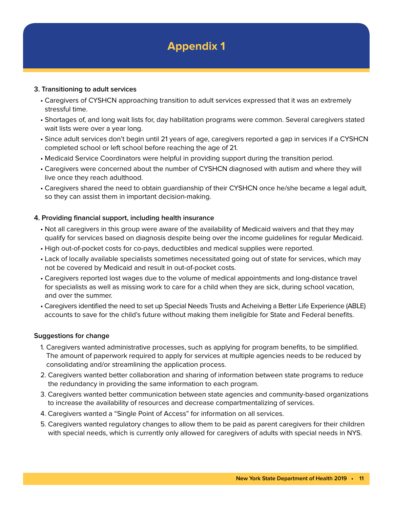#### **3. Transitioning to adult services**

- Caregivers of CYSHCN approaching transition to adult services expressed that it was an extremely stressful time.
- Shortages of, and long wait lists for, day habilitation programs were common. Several caregivers stated wait lists were over a year long.
- Since adult services don't begin until 21 years of age, caregivers reported a gap in services if a CYSHCN completed school or left school before reaching the age of 21.
- Medicaid Service Coordinators were helpful in providing support during the transition period.
- Caregivers were concerned about the number of CYSHCN diagnosed with autism and where they will live once they reach adulthood.
- Caregivers shared the need to obtain guardianship of their CYSHCN once he/she became a legal adult, so they can assist them in important decision-making.

#### **4. Providing financial support, including health insurance**

- Not all caregivers in this group were aware of the availability of Medicaid waivers and that they may qualify for services based on diagnosis despite being over the income guidelines for regular Medicaid.
- High out-of-pocket costs for co-pays, deductibles and medical supplies were reported.
- Lack of locally available specialists sometimes necessitated going out of state for services, which may not be covered by Medicaid and result in out-of-pocket costs.
- Caregivers reported lost wages due to the volume of medical appointments and long-distance travel for specialists as well as missing work to care for a child when they are sick, during school vacation, and over the summer.
- Caregivers identified the need to set up Special Needs Trusts and Acheiving a Better Life Experience (ABLE) accounts to save for the child's future without making them ineligible for State and Federal benefits.

#### **Suggestions for change**

- 1. Caregivers wanted administrative processes, such as applying for program benefits, to be simplified. The amount of paperwork required to apply for services at multiple agencies needs to be reduced by consolidating and/or streamlining the application process.
- 2. Caregivers wanted better collaboration and sharing of information between state programs to reduce the redundancy in providing the same information to each program.
- 3. Caregivers wanted better communication between state agencies and community-based organizations to increase the availability of resources and decrease compartmentalizing of services.
- 4. Caregivers wanted a "Single Point of Access" for information on all services.
- 5. Caregivers wanted regulatory changes to allow them to be paid as parent caregivers for their children with special needs, which is currently only allowed for caregivers of adults with special needs in NYS.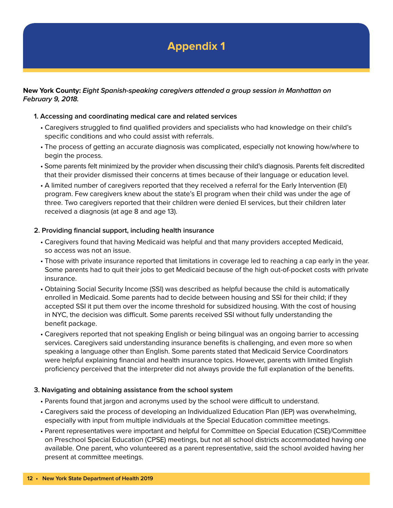#### **New York County: Eight Spanish-speaking caregivers attended a group session in Manhattan on February 9, 2018.**

#### **1. Accessing and coordinating medical care and related services**

- Caregivers struggled to find qualified providers and specialists who had knowledge on their child's specific conditions and who could assist with referrals.
- The process of getting an accurate diagnosis was complicated, especially not knowing how/where to begin the process.
- Some parents felt minimized by the provider when discussing their child's diagnosis. Parents felt discredited that their provider dismissed their concerns at times because of their language or education level.
- A limited number of caregivers reported that they received a referral for the Early Intervention (EI) program. Few caregivers knew about the state's EI program when their child was under the age of three. Two caregivers reported that their children were denied EI services, but their children later received a diagnosis (at age 8 and age 13).

#### **2. Providing financial support, including health insurance**

- Caregivers found that having Medicaid was helpful and that many providers accepted Medicaid, so access was not an issue.
- Those with private insurance reported that limitations in coverage led to reaching a cap early in the year. Some parents had to quit their jobs to get Medicaid because of the high out-of-pocket costs with private insurance.
- Obtaining Social Security Income (SSI) was described as helpful because the child is automatically enrolled in Medicaid. Some parents had to decide between housing and SSI for their child; if they accepted SSI it put them over the income threshold for subsidized housing. With the cost of housing in NYC, the decision was difficult. Some parents received SSI without fully understanding the benefit package.
- Caregivers reported that not speaking English or being bilingual was an ongoing barrier to accessing services. Caregivers said understanding insurance benefits is challenging, and even more so when speaking a language other than English. Some parents stated that Medicaid Service Coordinators were helpful explaining financial and health insurance topics. However, parents with limited English proficiency perceived that the interpreter did not always provide the full explanation of the benefits.

#### **3. Navigating and obtaining assistance from the school system**

- Parents found that jargon and acronyms used by the school were difficult to understand.
- Caregivers said the process of developing an Individualized Education Plan (IEP) was overwhelming, especially with input from multiple individuals at the Special Education committee meetings.
- Parent representatives were important and helpful for Committee on Special Education (CSE)/Committee on Preschool Special Education (CPSE) meetings, but not all school districts accommodated having one available. One parent, who volunteered as a parent representative, said the school avoided having her present at committee meetings.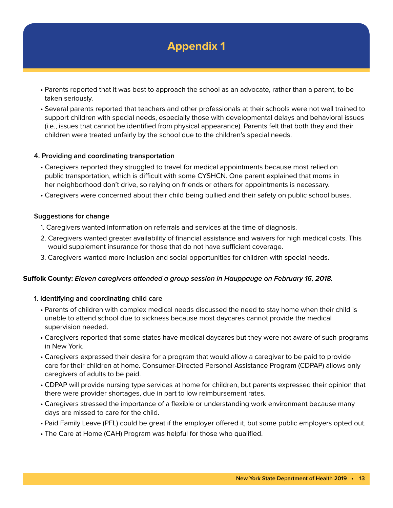- Parents reported that it was best to approach the school as an advocate, rather than a parent, to be taken seriously.
- Several parents reported that teachers and other professionals at their schools were not well trained to support children with special needs, especially those with developmental delays and behavioral issues (i.e., issues that cannot be identified from physical appearance). Parents felt that both they and their children were treated unfairly by the school due to the children's special needs.

#### **4. Providing and coordinating transportation**

- Caregivers reported they struggled to travel for medical appointments because most relied on public transportation, which is difficult with some CYSHCN. One parent explained that moms in her neighborhood don't drive, so relying on friends or others for appointments is necessary.
- Caregivers were concerned about their child being bullied and their safety on public school buses.

#### **Suggestions for change**

- 1. Caregivers wanted information on referrals and services at the time of diagnosis.
- 2. Caregivers wanted greater availability of financial assistance and waivers for high medical costs. This would supplement insurance for those that do not have sufficient coverage.
- 3. Caregivers wanted more inclusion and social opportunities for children with special needs.

#### **Suffolk County: Eleven caregivers attended a group session in Hauppauge on February 16, 2018.**

#### **1. Identifying and coordinating child care**

- Parents of children with complex medical needs discussed the need to stay home when their child is unable to attend school due to sickness because most daycares cannot provide the medical supervision needed.
- Caregivers reported that some states have medical daycares but they were not aware of such programs in New York.
- Caregivers expressed their desire for a program that would allow a caregiver to be paid to provide care for their children at home. Consumer-Directed Personal Assistance Program (CDPAP) allows only caregivers of adults to be paid.
- CDPAP will provide nursing type services at home for children, but parents expressed their opinion that there were provider shortages, due in part to low reimbursement rates.
- Caregivers stressed the importance of a flexible or understanding work environment because many days are missed to care for the child.
- Paid Family Leave (PFL) could be great if the employer offered it, but some public employers opted out.
- The Care at Home (CAH) Program was helpful for those who qualified.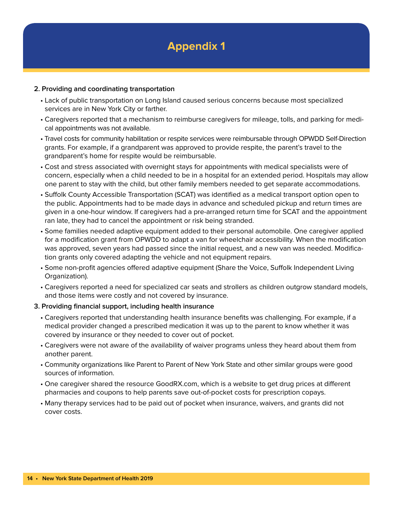

#### **2. Providing and coordinating transportation**

- Lack of public transportation on Long Island caused serious concerns because most specialized services are in New York City or farther.
- Caregivers reported that a mechanism to reimburse caregivers for mileage, tolls, and parking for medical appointments was not available.
- Travel costs for community habilitation or respite services were reimbursable through OPWDD Self-Direction grants. For example, if a grandparent was approved to provide respite, the parent's travel to the grandparent's home for respite would be reimbursable.
- Cost and stress associated with overnight stays for appointments with medical specialists were of concern, especially when a child needed to be in a hospital for an extended period. Hospitals may allow one parent to stay with the child, but other family members needed to get separate accommodations.
- Suffolk County Accessible Transportation (SCAT) was identified as a medical transport option open to the public. Appointments had to be made days in advance and scheduled pickup and return times are given in a one-hour window. If caregivers had a pre-arranged return time for SCAT and the appointment ran late, they had to cancel the appointment or risk being stranded.
- Some families needed adaptive equipment added to their personal automobile. One caregiver applied for a modification grant from OPWDD to adapt a van for wheelchair accessibility. When the modification was approved, seven years had passed since the initial request, and a new van was needed. Modification grants only covered adapting the vehicle and not equipment repairs.
- Some non-profit agencies offered adaptive equipment (Share the Voice, Suffolk Independent Living Organization).
- Caregivers reported a need for specialized car seats and strollers as children outgrow standard models, and those items were costly and not covered by insurance.
- **3. Providing financial support, including health insurance**
	- Caregivers reported that understanding health insurance benefits was challenging. For example, if a medical provider changed a prescribed medication it was up to the parent to know whether it was covered by insurance or they needed to cover out of pocket.
	- Caregivers were not aware of the availability of waiver programs unless they heard about them from another parent.
	- Community organizations like Parent to Parent of New York State and other similar groups were good sources of information.
	- One caregiver shared the resource GoodRX.com, which is a website to get drug prices at different pharmacies and coupons to help parents save out-of-pocket costs for prescription copays.
	- Many therapy services had to be paid out of pocket when insurance, waivers, and grants did not cover costs.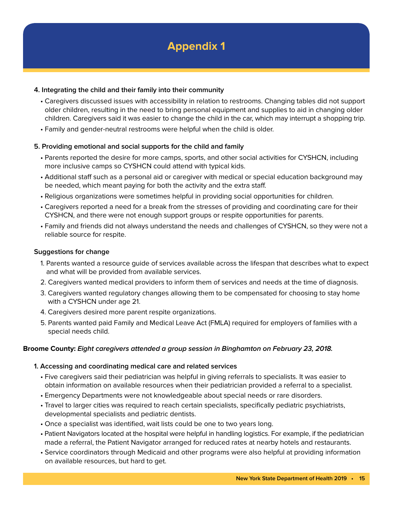#### **4. Integrating the child and their family into their community**

- Caregivers discussed issues with accessibility in relation to restrooms. Changing tables did not support older children, resulting in the need to bring personal equipment and supplies to aid in changing older children. Caregivers said it was easier to change the child in the car, which may interrupt a shopping trip.
- Family and gender-neutral restrooms were helpful when the child is older.

#### **5. Providing emotional and social supports for the child and family**

- Parents reported the desire for more camps, sports, and other social activities for CYSHCN, including more inclusive camps so CYSHCN could attend with typical kids.
- Additional staff such as a personal aid or caregiver with medical or special education background may be needed, which meant paying for both the activity and the extra staff.
- Religious organizations were sometimes helpful in providing social opportunities for children.
- Caregivers reported a need for a break from the stresses of providing and coordinating care for their CYSHCN, and there were not enough support groups or respite opportunities for parents.
- Family and friends did not always understand the needs and challenges of CYSHCN, so they were not a reliable source for respite.

#### **Suggestions for change**

- 1. Parents wanted a resource guide of services available across the lifespan that describes what to expect and what will be provided from available services.
- 2. Caregivers wanted medical providers to inform them of services and needs at the time of diagnosis.
- 3. Caregivers wanted regulatory changes allowing them to be compensated for choosing to stay home with a CYSHCN under age 21.
- 4. Caregivers desired more parent respite organizations.
- 5. Parents wanted paid Family and Medical Leave Act (FMLA) required for employers of families with a special needs child.

#### **Broome County: Eight caregivers attended a group session in Binghamton on February 23, 2018.**

#### **1. Accessing and coordinating medical care and related services**

- Five caregivers said their pediatrician was helpful in giving referrals to specialists. It was easier to obtain information on available resources when their pediatrician provided a referral to a specialist.
- Emergency Departments were not knowledgeable about special needs or rare disorders.
- Travel to larger cities was required to reach certain specialists, specifically pediatric psychiatrists, developmental specialists and pediatric dentists.
- Once a specialist was identified, wait lists could be one to two years long.
- Patient Navigators located at the hospital were helpful in handling logistics. For example, if the pediatrician made a referral, the Patient Navigator arranged for reduced rates at nearby hotels and restaurants.
- Service coordinators through Medicaid and other programs were also helpful at providing information on available resources, but hard to get.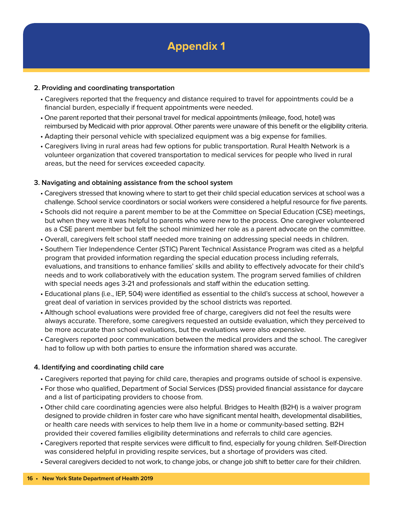#### **2. Providing and coordinating transportation**

- Caregivers reported that the frequency and distance required to travel for appointments could be a financial burden, especially if frequent appointments were needed.
- One parent reported that their personal travel for medical appointments (mileage, food, hotel) was reimbursed by Medicaid with prior approval. Other parents were unaware of this benefit or the eligibility criteria.
- Adapting their personal vehicle with specialized equipment was a big expense for families.
- Caregivers living in rural areas had few options for public transportation. Rural Health Network is a volunteer organization that covered transportation to medical services for people who lived in rural areas, but the need for services exceeded capacity.

#### **3. Navigating and obtaining assistance from the school system**

- Caregivers stressed that knowing where to start to get their child special education services at school was a challenge. School service coordinators or social workers were considered a helpful resource for five parents.
- Schools did not require a parent member to be at the Committee on Special Education (CSE) meetings, but when they were it was helpful to parents who were new to the process. One caregiver volunteered as a CSE parent member but felt the school minimized her role as a parent advocate on the committee.
- Overall, caregivers felt school staff needed more training on addressing special needs in children.
- Southern Tier Independence Center (STIC) Parent Technical Assistance Program was cited as a helpful program that provided information regarding the special education process including referrals, evaluations, and transitions to enhance families' skills and ability to effectively advocate for their child's needs and to work collaboratively with the education system. The program served families of children with special needs ages 3-21 and professionals and staff within the education setting.
- Educational plans (i.e., IEP, 504) were identified as essential to the child's success at school, however a great deal of variation in services provided by the school districts was reported.
- Although school evaluations were provided free of charge, caregivers did not feel the results were always accurate. Therefore, some caregivers requested an outside evaluation, which they perceived to be more accurate than school evaluations, but the evaluations were also expensive.
- Caregivers reported poor communication between the medical providers and the school. The caregiver had to follow up with both parties to ensure the information shared was accurate.

#### **4. Identifying and coordinating child care**

- Caregivers reported that paying for child care, therapies and programs outside of school is expensive.
- For those who qualified, Department of Social Services (DSS) provided financial assistance for daycare and a list of participating providers to choose from.
- Other child care coordinating agencies were also helpful. Bridges to Health (B2H) is a waiver program designed to provide children in foster care who have significant mental health, developmental disabilities, or health care needs with services to help them live in a home or community-based setting. B2H provided their covered families eligibility determinations and referrals to child care agencies.
- Caregivers reported that respite services were difficult to find, especially for young children. Self-Direction was considered helpful in providing respite services, but a shortage of providers was cited.
- Several caregivers decided to not work, to change jobs, or change job shift to better care for their children.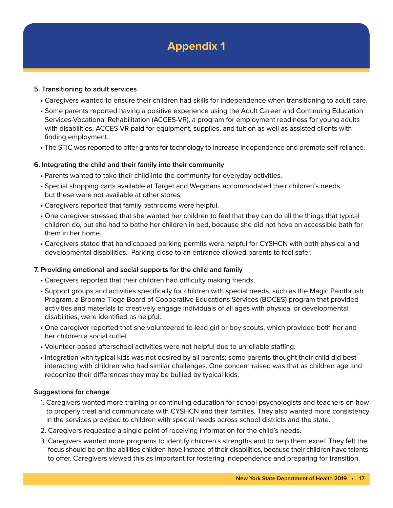#### **5. Transitioning to adult services**

- Caregivers wanted to ensure their children had skills for independence when transitioning to adult care.
- Some parents reported having a positive experience using the Adult Career and Continuing Education Services-Vocational Rehabilitation (ACCES-VR), a program for employment readiness for young adults with disabilities. ACCES-VR paid for equipment, supplies, and tuition as well as assisted clients with finding employment.
- The STIC was reported to offer grants for technology to increase independence and promote self-reliance.

#### **6. Integrating the child and their family into their community**

- Parents wanted to take their child into the community for everyday activities.
- Special shopping carts available at Target and Wegmans accommodated their children's needs, but these were not available at other stores.
- Caregivers reported that family bathrooms were helpful.
- One caregiver stressed that she wanted her children to feel that they can do all the things that typical children do, but she had to bathe her children in bed, because she did not have an accessible bath for them in her home.
- Caregivers stated that handicapped parking permits were helpful for CYSHCN with both physical and developmental disabilities. Parking close to an entrance allowed parents to feel safer.

#### **7. Providing emotional and social supports for the child and family**

- Caregivers reported that their children had difficulty making friends.
- Support groups and activities specifically for children with special needs, such as the Magic Paintbrush Program, a Broome Tioga Board of Cooperative Educations Services (BOCES) program that provided activities and materials to creatively engage individuals of all ages with physical or developmental disabilities, were identified as helpful.
- One caregiver reported that she volunteered to lead girl or boy scouts, which provided both her and her children a social outlet.
- Volunteer-based afterschool activities were not helpful due to unreliable staffing.
- Integration with typical kids was not desired by all parents; some parents thought their child did best interacting with children who had similar challenges. One concern raised was that as children age and recognize their differences they may be bullied by typical kids.

#### **Suggestions for change**

- 1. Caregivers wanted more training or continuing education for school psychologists and teachers on how to properly treat and communicate with CYSHCN and their families. They also wanted more consistency in the services provided to children with special needs across school districts and the state.
- 2. Caregivers requested a single point of receiving information for the child's needs.
- 3. Caregivers wanted more programs to identify children's strengths and to help them excel. They felt the focus should be on the abilities children have instead of their disabilities, because their children have talents to offer. Caregivers viewed this as important for fostering independence and preparing for transition.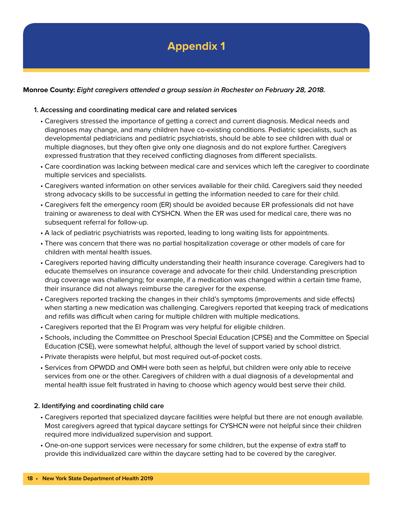#### **Monroe County: Eight caregivers attended a group session in Rochester on February 28, 2018.**

#### **1. Accessing and coordinating medical care and related services**

- Caregivers stressed the importance of getting a correct and current diagnosis. Medical needs and diagnoses may change, and many children have co-existing conditions. Pediatric specialists, such as developmental pediatricians and pediatric psychiatrists, should be able to see children with dual or multiple diagnoses, but they often give only one diagnosis and do not explore further. Caregivers expressed frustration that they received conflicting diagnoses from different specialists.
- Care coordination was lacking between medical care and services which left the caregiver to coordinate multiple services and specialists.
- Caregivers wanted information on other services available for their child. Caregivers said they needed strong advocacy skills to be successful in getting the information needed to care for their child.
- Caregivers felt the emergency room (ER) should be avoided because ER professionals did not have training or awareness to deal with CYSHCN. When the ER was used for medical care, there was no subsequent referral for follow-up.
- A lack of pediatric psychiatrists was reported, leading to long waiting lists for appointments.
- There was concern that there was no partial hospitalization coverage or other models of care for children with mental health issues.
- Caregivers reported having difficulty understanding their health insurance coverage. Caregivers had to educate themselves on insurance coverage and advocate for their child. Understanding prescription drug coverage was challenging; for example, if a medication was changed within a certain time frame, their insurance did not always reimburse the caregiver for the expense.
- Caregivers reported tracking the changes in their child's symptoms (improvements and side effects) when starting a new medication was challenging. Caregivers reported that keeping track of medications and refills was difficult when caring for multiple children with multiple medications.
- Caregivers reported that the EI Program was very helpful for eligible children.
- Schools, including the Committee on Preschool Special Education (CPSE) and the Committee on Special Education (CSE), were somewhat helpful, although the level of support varied by school district.
- Private therapists were helpful, but most required out-of-pocket costs.
- Services from OPWDD and OMH were both seen as helpful, but children were only able to receive services from one or the other. Caregivers of children with a dual diagnosis of a developmental and mental health issue felt frustrated in having to choose which agency would best serve their child.

#### **2. Identifying and coordinating child care**

- Caregivers reported that specialized daycare facilities were helpful but there are not enough available. Most caregivers agreed that typical daycare settings for CYSHCN were not helpful since their children required more individualized supervision and support.
- One-on-one support services were necessary for some children, but the expense of extra staff to provide this individualized care within the daycare setting had to be covered by the caregiver.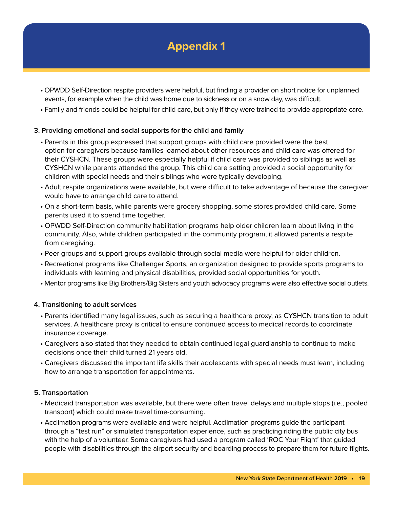- OPWDD Self-Direction respite providers were helpful, but finding a provider on short notice for unplanned events, for example when the child was home due to sickness or on a snow day, was difficult.
- Family and friends could be helpful for child care, but only if they were trained to provide appropriate care.

#### **3. Providing emotional and social supports for the child and family**

- Parents in this group expressed that support groups with child care provided were the best option for caregivers because families learned about other resources and child care was offered for their CYSHCN. These groups were especially helpful if child care was provided to siblings as well as CYSHCN while parents attended the group. This child care setting provided a social opportunity for children with special needs and their siblings who were typically developing.
- Adult respite organizations were available, but were difficult to take advantage of because the caregiver would have to arrange child care to attend.
- On a short-term basis, while parents were grocery shopping, some stores provided child care. Some parents used it to spend time together.
- OPWDD Self-Direction community habilitation programs help older children learn about living in the community. Also, while children participated in the community program, it allowed parents a respite from caregiving.
- Peer groups and support groups available through social media were helpful for older children.
- Recreational programs like Challenger Sports, an organization designed to provide sports programs to individuals with learning and physical disabilities, provided social opportunities for youth.
- Mentor programs like Big Brothers/Big Sisters and youth advocacy programs were also effective social outlets.

#### **4. Transitioning to adult services**

- Parents identified many legal issues, such as securing a healthcare proxy, as CYSHCN transition to adult services. A healthcare proxy is critical to ensure continued access to medical records to coordinate insurance coverage.
- Caregivers also stated that they needed to obtain continued legal guardianship to continue to make decisions once their child turned 21 years old.
- Caregivers discussed the important life skills their adolescents with special needs must learn, including how to arrange transportation for appointments.

#### **5. Transportation**

- Medicaid transportation was available, but there were often travel delays and multiple stops (i.e., pooled transport) which could make travel time-consuming.
- Acclimation programs were available and were helpful. Acclimation programs guide the participant through a "test run" or simulated transportation experience, such as practicing riding the public city bus with the help of a volunteer. Some caregivers had used a program called 'ROC Your Flight' that guided people with disabilities through the airport security and boarding process to prepare them for future flights.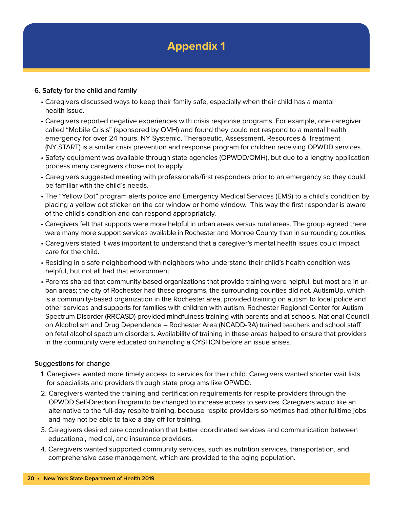#### **6. Safety for the child and family**

- Caregivers discussed ways to keep their family safe, especially when their child has a mental health issue.
- Caregivers reported negative experiences with crisis response programs. For example, one caregiver called "Mobile Crisis" (sponsored by OMH) and found they could not respond to a mental health emergency for over 24 hours. NY Systemic, Therapeutic, Assessment, Resources & Treatment (NY START) is a similar crisis prevention and response program for children receiving OPWDD services.
- Safety equipment was available through state agencies (OPWDD/OMH), but due to a lengthy application process many caregivers chose not to apply.
- Caregivers suggested meeting with professionals/first responders prior to an emergency so they could be familiar with the child's needs.
- The "Yellow Dot" program alerts police and Emergency Medical Services (EMS) to a child's condition by placing a yellow dot sticker on the car window or home window. This way the first responder is aware of the child's condition and can respond appropriately.
- Caregivers felt that supports were more helpful in urban areas versus rural areas. The group agreed there were many more support services available in Rochester and Monroe County than in surrounding counties.
- Caregivers stated it was important to understand that a caregiver's mental health issues could impact care for the child.
- Residing in a safe neighborhood with neighbors who understand their child's health condition was helpful, but not all had that environment.
- Parents shared that community-based organizations that provide training were helpful, but most are in urban areas; the city of Rochester had these programs, the surrounding counties did not. AutismUp, which is a community-based organization in the Rochester area, provided training on autism to local police and other services and supports for families with children with autism. Rochester Regional Center for Autism Spectrum Disorder (RRCASD) provided mindfulness training with parents and at schools. National Council on Alcoholism and Drug Dependence – Rochester Area (NCADD-RA) trained teachers and school staff on fetal alcohol spectrum disorders. Availability of training in these areas helped to ensure that providers in the community were educated on handling a CYSHCN before an issue arises.

#### **Suggestions for change**

- 1. Caregivers wanted more timely access to services for their child. Caregivers wanted shorter wait lists for specialists and providers through state programs like OPWDD.
- 2. Caregivers wanted the training and certification requirements for respite providers through the OPWDD Self-Direction Program to be changed to increase access to services. Caregivers would like an alternative to the full-day respite training, because respite providers sometimes had other fulltime jobs and may not be able to take a day off for training.
- 3. Caregivers desired care coordination that better coordinated services and communication between educational, medical, and insurance providers.
- 4. Caregivers wanted supported community services, such as nutrition services, transportation, and comprehensive case management, which are provided to the aging population.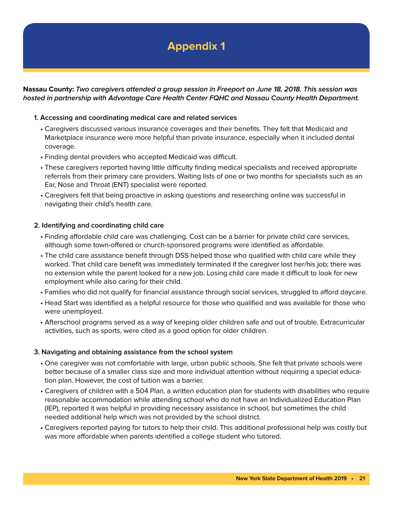**Nassau County: Two caregivers attended a group session in Freeport on June 18, 2018. This session was hosted in partnership with Advantage Care Health Center FQHC and Nassau County Health Department.**

#### **1. Accessing and coordinating medical care and related services**

- Caregivers discussed various insurance coverages and their benefits. They felt that Medicaid and Marketplace insurance were more helpful than private insurance, especially when it included dental coverage.
- Finding dental providers who accepted Medicaid was difficult.
- These caregivers reported having little difficulty finding medical specialists and received appropriate referrals from their primary care providers. Waiting lists of one or two months for specialists such as an Ear, Nose and Throat (ENT) specialist were reported.
- Caregivers felt that being proactive in asking questions and researching online was successful in navigating their child's health care.

#### **2. Identifying and coordinating child care**

- Finding affordable child care was challenging. Cost can be a barrier for private child care services, although some town-offered or church-sponsored programs were identified as affordable.
- The child care assistance benefit through DSS helped those who qualified with child care while they worked. That child care benefit was immediately terminated if the caregiver lost her/his job; there was no extension while the parent looked for a new job. Losing child care made it difficult to look for new employment while also caring for their child.
- Families who did not qualify for financial assistance through social services, struggled to afford daycare.
- Head Start was identified as a helpful resource for those who qualified and was available for those who were unemployed.
- Afterschool programs served as a way of keeping older children safe and out of trouble. Extracurricular activities, such as sports, were cited as a good option for older children.

#### **3. Navigating and obtaining assistance from the school system**

- One caregiver was not comfortable with large, urban public schools. She felt that private schools were better because of a smaller class size and more individual attention without requiring a special education plan. However, the cost of tuition was a barrier.
- Caregivers of children with a 504 Plan, a written education plan for students with disabilities who require reasonable accommodation while attending school who do not have an Individualized Education Plan (IEP), reported it was helpful in providing necessary assistance in school, but sometimes the child needed additional help which was not provided by the school district.
- Caregivers reported paying for tutors to help their child. This additional professional help was costly but was more affordable when parents identified a college student who tutored.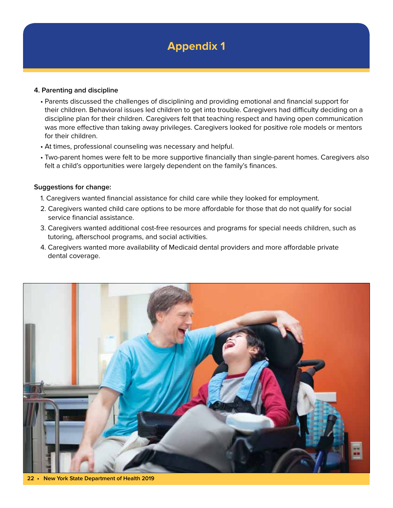#### **4. Parenting and discipline**

- Parents discussed the challenges of disciplining and providing emotional and financial support for their children. Behavioral issues led children to get into trouble. Caregivers had difficulty deciding on a discipline plan for their children. Caregivers felt that teaching respect and having open communication was more effective than taking away privileges. Caregivers looked for positive role models or mentors for their children.
- At times, professional counseling was necessary and helpful.
- Two-parent homes were felt to be more supportive financially than single-parent homes. Caregivers also felt a child's opportunities were largely dependent on the family's finances.

#### **Suggestions for change:**

- 1. Caregivers wanted financial assistance for child care while they looked for employment.
- 2. Caregivers wanted child care options to be more affordable for those that do not qualify for social service financial assistance.
- 3. Caregivers wanted additional cost-free resources and programs for special needs children, such as tutoring, afterschool programs, and social activities.
- 4. Caregivers wanted more availability of Medicaid dental providers and more affordable private dental coverage.



**22 • New York State Department of Health 2019**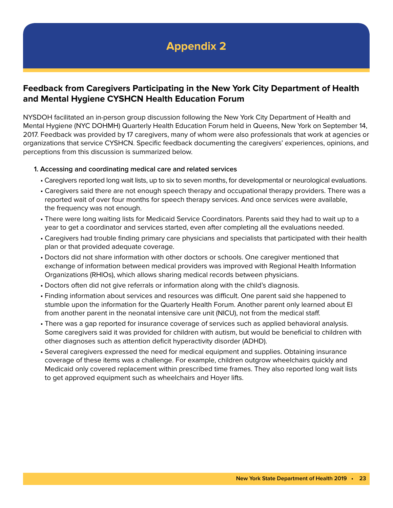### **Feedback from Caregivers Participating in the New York City Department of Health and Mental Hygiene CYSHCN Health Education Forum**

NYSDOH facilitated an in-person group discussion following the New York City Department of Health and Mental Hygiene (NYC DOHMH) Quarterly Health Education Forum held in Queens, New York on September 14, 2017. Feedback was provided by 17 caregivers, many of whom were also professionals that work at agencies or organizations that service CYSHCN. Specific feedback documenting the caregivers' experiences, opinions, and perceptions from this discussion is summarized below.

#### **1. Accessing and coordinating medical care and related services**

- Caregivers reported long wait lists, up to six to seven months, for developmental or neurological evaluations.
- Caregivers said there are not enough speech therapy and occupational therapy providers. There was a reported wait of over four months for speech therapy services. And once services were available, the frequency was not enough.
- There were long waiting lists for Medicaid Service Coordinators. Parents said they had to wait up to a year to get a coordinator and services started, even after completing all the evaluations needed.
- Caregivers had trouble finding primary care physicians and specialists that participated with their health plan or that provided adequate coverage.
- Doctors did not share information with other doctors or schools. One caregiver mentioned that exchange of information between medical providers was improved with Regional Health Information Organizations (RHIOs), which allows sharing medical records between physicians.
- Doctors often did not give referrals or information along with the child's diagnosis.
- Finding information about services and resources was difficult. One parent said she happened to stumble upon the information for the Quarterly Health Forum. Another parent only learned about EI from another parent in the neonatal intensive care unit (NICU), not from the medical staff.
- There was a gap reported for insurance coverage of services such as applied behavioral analysis. Some caregivers said it was provided for children with autism, but would be beneficial to children with other diagnoses such as attention deficit hyperactivity disorder (ADHD).
- Several caregivers expressed the need for medical equipment and supplies. Obtaining insurance coverage of these items was a challenge. For example, children outgrow wheelchairs quickly and Medicaid only covered replacement within prescribed time frames. They also reported long wait lists to get approved equipment such as wheelchairs and Hoyer lifts.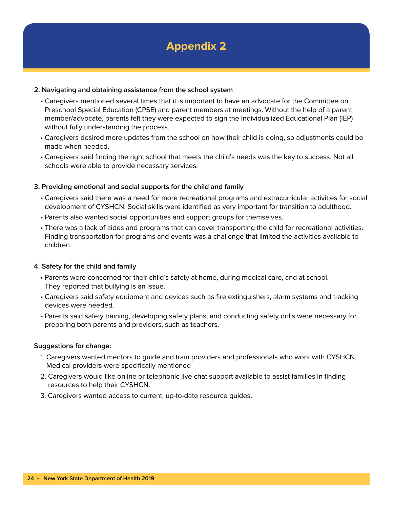#### **2. Navigating and obtaining assistance from the school system**

- Caregivers mentioned several times that it is important to have an advocate for the Committee on Preschool Special Education (CPSE) and parent members at meetings. Without the help of a parent member/advocate, parents felt they were expected to sign the Individualized Educational Plan (IEP) without fully understanding the process.
- Caregivers desired more updates from the school on how their child is doing, so adjustments could be made when needed.
- Caregivers said finding the right school that meets the child's needs was the key to success. Not all schools were able to provide necessary services.

#### **3. Providing emotional and social supports for the child and family**

- Caregivers said there was a need for more recreational programs and extracurricular activities for social development of CYSHCN. Social skills were identified as very important for transition to adulthood.
- Parents also wanted social opportunities and support groups for themselves.
- There was a lack of aides and programs that can cover transporting the child for recreational activities. Finding transportation for programs and events was a challenge that limited the activities available to children.

#### **4. Safety for the child and family**

- Parents were concerned for their child's safety at home, during medical care, and at school. They reported that bullying is an issue.
- Caregivers said safety equipment and devices such as fire extinguishers, alarm systems and tracking devices were needed.
- Parents said safety training, developing safety plans, and conducting safety drills were necessary for preparing both parents and providers, such as teachers.

#### **Suggestions for change:**

- 1. Caregivers wanted mentors to guide and train providers and professionals who work with CYSHCN. Medical providers were specifically mentioned
- 2. Caregivers would like online or telephonic live chat support available to assist families in finding resources to help their CYSHCN.
- 3. Caregivers wanted access to current, up-to-date resource guides.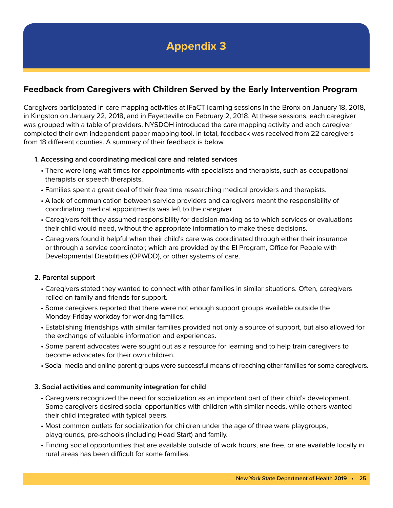### **Feedback from Caregivers with Children Served by the Early Intervention Program**

Caregivers participated in care mapping activities at IFaCT learning sessions in the Bronx on January 18, 2018, in Kingston on January 22, 2018, and in Fayetteville on February 2, 2018. At these sessions, each caregiver was grouped with a table of providers. NYSDOH introduced the care mapping activity and each caregiver completed their own independent paper mapping tool. In total, feedback was received from 22 caregivers from 18 different counties. A summary of their feedback is below.

#### **1. Accessing and coordinating medical care and related services**

- There were long wait times for appointments with specialists and therapists, such as occupational therapists or speech therapists.
- Families spent a great deal of their free time researching medical providers and therapists.
- A lack of communication between service providers and caregivers meant the responsibility of coordinating medical appointments was left to the caregiver.
- Caregivers felt they assumed responsibility for decision-making as to which services or evaluations their child would need, without the appropriate information to make these decisions.
- Caregivers found it helpful when their child's care was coordinated through either their insurance or through a service coordinator, which are provided by the EI Program, Office for People with Developmental Disabilities (OPWDD), or other systems of care.

#### **2. Parental support**

- Caregivers stated they wanted to connect with other families in similar situations. Often, caregivers relied on family and friends for support.
- Some caregivers reported that there were not enough support groups available outside the Monday-Friday workday for working families.
- Establishing friendships with similar families provided not only a source of support, but also allowed for the exchange of valuable information and experiences.
- Some parent advocates were sought out as a resource for learning and to help train caregivers to become advocates for their own children.
- Social media and online parent groups were successful means of reaching other families for some caregivers.

#### **3. Social activities and community integration for child**

- Caregivers recognized the need for socialization as an important part of their child's development. Some caregivers desired social opportunities with children with similar needs, while others wanted their child integrated with typical peers.
- Most common outlets for socialization for children under the age of three were playgroups, playgrounds, pre-schools (including Head Start) and family.
- Finding social opportunities that are available outside of work hours, are free, or are available locally in rural areas has been difficult for some families.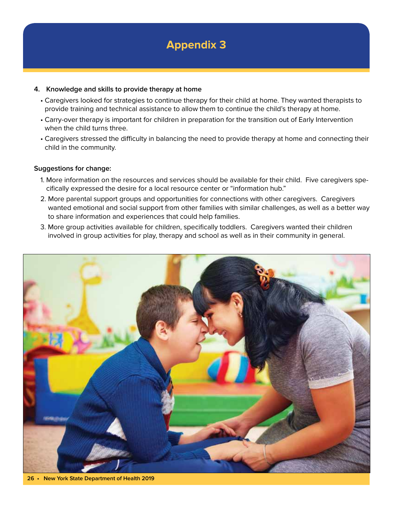#### **4. Knowledge and skills to provide therapy at home**

- Caregivers looked for strategies to continue therapy for their child at home. They wanted therapists to provide training and technical assistance to allow them to continue the child's therapy at home.
- Carry-over therapy is important for children in preparation for the transition out of Early Intervention when the child turns three.
- Caregivers stressed the difficulty in balancing the need to provide therapy at home and connecting their child in the community.

#### **Suggestions for change:**

- 1. More information on the resources and services should be available for their child. Five caregivers specifically expressed the desire for a local resource center or "information hub."
- 2. More parental support groups and opportunities for connections with other caregivers. Caregivers wanted emotional and social support from other families with similar challenges, as well as a better way to share information and experiences that could help families.
- 3. More group activities available for children, specifically toddlers. Caregivers wanted their children involved in group activities for play, therapy and school as well as in their community in general.



**26 • New York State Department of Health 2019**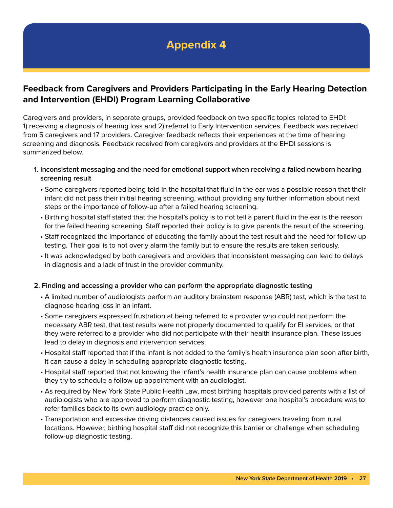### **Feedback from Caregivers and Providers Participating in the Early Hearing Detection and Intervention (EHDI) Program Learning Collaborative**

Caregivers and providers, in separate groups, provided feedback on two specific topics related to EHDI: 1) receiving a diagnosis of hearing loss and 2) referral to Early Intervention services. Feedback was received from 5 caregivers and 17 providers. Caregiver feedback reflects their experiences at the time of hearing screening and diagnosis. Feedback received from caregivers and providers at the EHDI sessions is summarized below.

- **1. Inconsistent messaging and the need for emotional support when receiving a failed newborn hearing screening result**
	- Some caregivers reported being told in the hospital that fluid in the ear was a possible reason that their infant did not pass their initial hearing screening, without providing any further information about next steps or the importance of follow-up after a failed hearing screening.
	- Birthing hospital staff stated that the hospital's policy is to not tell a parent fluid in the ear is the reason for the failed hearing screening. Staff reported their policy is to give parents the result of the screening.
	- Staff recognized the importance of educating the family about the test result and the need for follow-up testing. Their goal is to not overly alarm the family but to ensure the results are taken seriously.
	- It was acknowledged by both caregivers and providers that inconsistent messaging can lead to delays in diagnosis and a lack of trust in the provider community.

#### **2. Finding and accessing a provider who can perform the appropriate diagnostic testing**

- A limited number of audiologists perform an auditory brainstem response (ABR) test, which is the test to diagnose hearing loss in an infant.
- Some caregivers expressed frustration at being referred to a provider who could not perform the necessary ABR test, that test results were not properly documented to qualify for EI services, or that they were referred to a provider who did not participate with their health insurance plan. These issues lead to delay in diagnosis and intervention services.
- Hospital staff reported that if the infant is not added to the family's health insurance plan soon after birth, it can cause a delay in scheduling appropriate diagnostic testing.
- Hospital staff reported that not knowing the infant's health insurance plan can cause problems when they try to schedule a follow-up appointment with an audiologist.
- As required by New York State Public Health Law, most birthing hospitals provided parents with a list of audiologists who are approved to perform diagnostic testing, however one hospital's procedure was to refer families back to its own audiology practice only.
- Transportation and excessive driving distances caused issues for caregivers traveling from rural locations. However, birthing hospital staff did not recognize this barrier or challenge when scheduling follow-up diagnostic testing.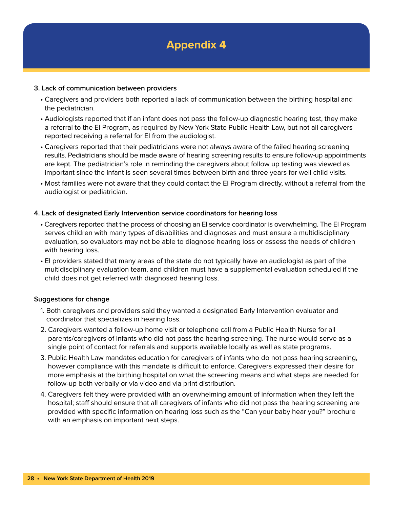

#### **3. Lack of communication between providers**

- Caregivers and providers both reported a lack of communication between the birthing hospital and the pediatrician.
- Audiologists reported that if an infant does not pass the follow-up diagnostic hearing test, they make a referral to the EI Program, as required by New York State Public Health Law, but not all caregivers reported receiving a referral for EI from the audiologist.
- Caregivers reported that their pediatricians were not always aware of the failed hearing screening results. Pediatricians should be made aware of hearing screening results to ensure follow-up appointments are kept. The pediatrician's role in reminding the caregivers about follow up testing was viewed as important since the infant is seen several times between birth and three years for well child visits.
- Most families were not aware that they could contact the EI Program directly, without a referral from the audiologist or pediatrician.

#### **4. Lack of designated Early Intervention service coordinators for hearing loss**

- Caregivers reported that the process of choosing an EI service coordinator is overwhelming. The EI Program serves children with many types of disabilities and diagnoses and must ensure a multidisciplinary evaluation, so evaluators may not be able to diagnose hearing loss or assess the needs of children with hearing loss.
- EI providers stated that many areas of the state do not typically have an audiologist as part of the multidisciplinary evaluation team, and children must have a supplemental evaluation scheduled if the child does not get referred with diagnosed hearing loss.

#### **Suggestions for change**

- 1. Both caregivers and providers said they wanted a designated Early Intervention evaluator and coordinator that specializes in hearing loss.
- 2. Caregivers wanted a follow-up home visit or telephone call from a Public Health Nurse for all parents/caregivers of infants who did not pass the hearing screening. The nurse would serve as a single point of contact for referrals and supports available locally as well as state programs.
- 3. Public Health Law mandates education for caregivers of infants who do not pass hearing screening, however compliance with this mandate is difficult to enforce. Caregivers expressed their desire for more emphasis at the birthing hospital on what the screening means and what steps are needed for follow-up both verbally or via video and via print distribution.
- 4. Caregivers felt they were provided with an overwhelming amount of information when they left the hospital; staff should ensure that all caregivers of infants who did not pass the hearing screening are provided with specific information on hearing loss such as the "Can your baby hear you?" brochure with an emphasis on important next steps.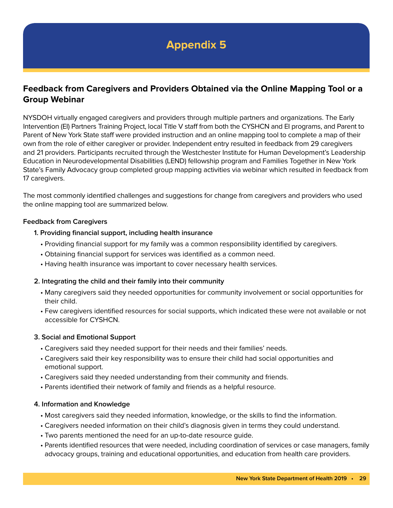### **Feedback from Caregivers and Providers Obtained via the Online Mapping Tool or a Group Webinar**

NYSDOH virtually engaged caregivers and providers through multiple partners and organizations. The Early Intervention (EI) Partners Training Project, local Title V staff from both the CYSHCN and EI programs, and Parent to Parent of New York State staff were provided instruction and an online mapping tool to complete a map of their own from the role of either caregiver or provider. Independent entry resulted in feedback from 29 caregivers and 21 providers. Participants recruited through the Westchester Institute for Human Development's Leadership Education in Neurodevelopmental Disabilities (LEND) fellowship program and Families Together in New York State's Family Advocacy group completed group mapping activities via webinar which resulted in feedback from 17 caregivers.

The most commonly identified challenges and suggestions for change from caregivers and providers who used the online mapping tool are summarized below.

#### **Feedback from Caregivers**

- **1. Providing financial support, including health insurance**
	- Providing financial support for my family was a common responsibility identified by caregivers.
	- Obtaining financial support for services was identified as a common need.
	- Having health insurance was important to cover necessary health services.

#### **2. Integrating the child and their family into their community**

- Many caregivers said they needed opportunities for community involvement or social opportunities for their child.
- Few caregivers identified resources for social supports, which indicated these were not available or not accessible for CYSHCN.

#### **3. Social and Emotional Support**

- Caregivers said they needed support for their needs and their families' needs.
- Caregivers said their key responsibility was to ensure their child had social opportunities and emotional support.
- Caregivers said they needed understanding from their community and friends.
- Parents identified their network of family and friends as a helpful resource.

#### **4. Information and Knowledge**

- Most caregivers said they needed information, knowledge, or the skills to find the information.
- Caregivers needed information on their child's diagnosis given in terms they could understand.
- Two parents mentioned the need for an up-to-date resource guide.
- Parents identified resources that were needed, including coordination of services or case managers, family advocacy groups, training and educational opportunities, and education from health care providers.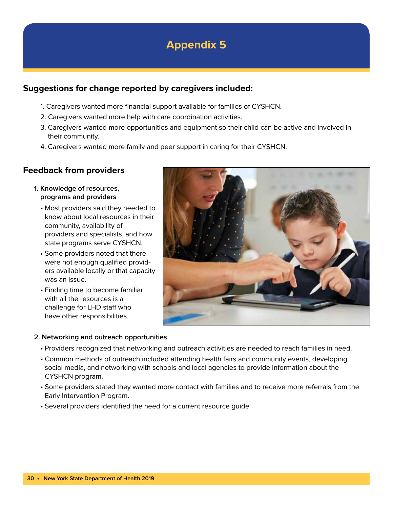### **Suggestions for change reported by caregivers included:**

- 1. Caregivers wanted more financial support available for families of CYSHCN.
- 2. Caregivers wanted more help with care coordination activities.
- 3. Caregivers wanted more opportunities and equipment so their child can be active and involved in their community.
- 4. Caregivers wanted more family and peer support in caring for their CYSHCN.

### **Feedback from providers**

- **1. Knowledge of resources, programs and providers**
	- Most providers said they needed to know about local resources in their community, availability of providers and specialists, and how state programs serve CYSHCN.
	- Some providers noted that there were not enough qualified providers available locally or that capacity was an issue.
	- Finding time to become familiar with all the resources is a challenge for LHD staff who have other responsibilities.



#### **2. Networking and outreach opportunities**

- Providers recognized that networking and outreach activities are needed to reach families in need.
- Common methods of outreach included attending health fairs and community events, developing social media, and networking with schools and local agencies to provide information about the CYSHCN program.
- Some providers stated they wanted more contact with families and to receive more referrals from the Early Intervention Program.
- Several providers identified the need for a current resource guide.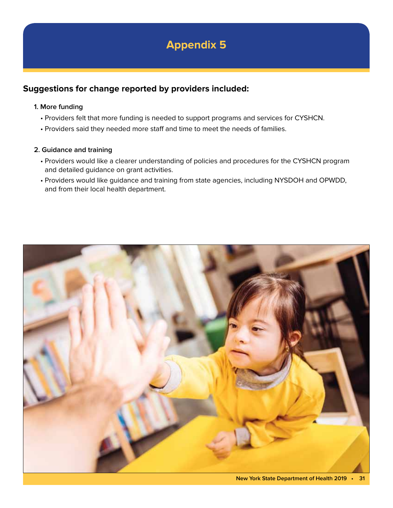### **Suggestions for change reported by providers included:**

#### **1. More funding**

- Providers felt that more funding is needed to support programs and services for CYSHCN.
- Providers said they needed more staff and time to meet the needs of families.

#### **2. Guidance and training**

- Providers would like a clearer understanding of policies and procedures for the CYSHCN program and detailed guidance on grant activities.
- Providers would like guidance and training from state agencies, including NYSDOH and OPWDD, and from their local health department.